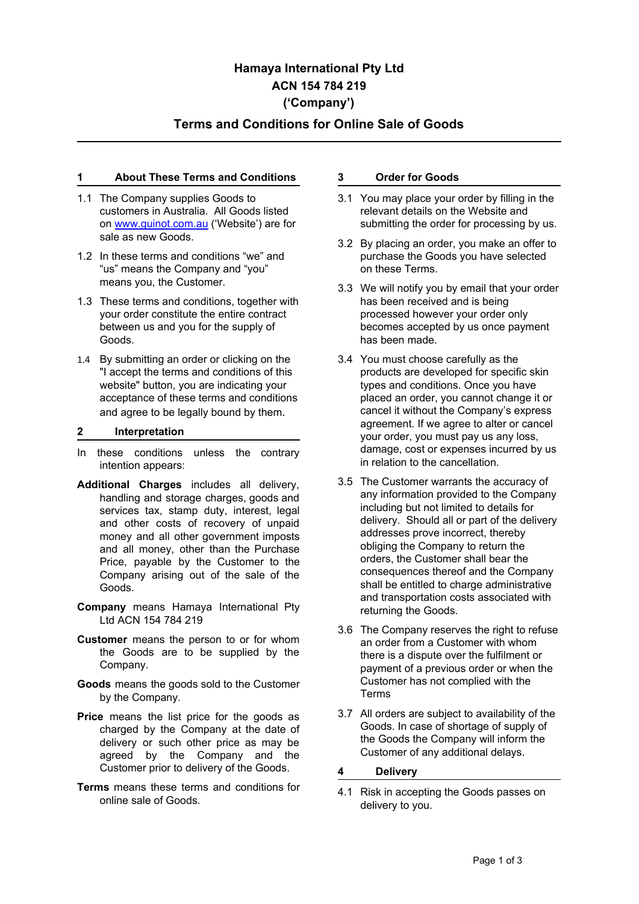# **Hamaya International Pty Ltd ACN 154 784 219 ('Company')**

# **Terms and Conditions for Online Sale of Goods**

# **1 About These Terms and Conditions**

- 1.1 The Company supplies Goods to customers in Australia. All Goods listed on [www.guinot.com.au](http://www.guinot.com.au/) ('Website') are for sale as new Goods.
- 1.2 In these terms and conditions "we" and "us" means the Company and "you" means you, the Customer.
- 1.3 These terms and conditions, together with your order constitute the entire contract between us and you for the supply of Goods.
- 1.4 By submitting an order or clicking on the "I accept the terms and conditions of this website" button, you are indicating your acceptance of these terms and conditions and agree to be legally bound by them.

#### **2 Interpretation**

- In these conditions unless the contrary intention appears:
- **Additional Charges** includes all delivery, handling and storage charges, goods and services tax, stamp duty, interest, legal and other costs of recovery of unpaid money and all other government imposts and all money, other than the Purchase Price, payable by the Customer to the Company arising out of the sale of the Goods.
- **Company** means Hamaya International Pty Ltd ACN 154 784 219
- **Customer** means the person to or for whom the Goods are to be supplied by the Company.
- **Goods** means the goods sold to the Customer by the Company.
- **Price** means the list price for the goods as charged by the Company at the date of delivery or such other price as may be agreed by the Company and the Customer prior to delivery of the Goods.
- **Terms** means these terms and conditions for online sale of Goods.

#### **3 Order for Goods**

- 3.1 You may place your order by filling in the relevant details on the Website and submitting the order for processing by us.
- 3.2 By placing an order, you make an offer to purchase the Goods you have selected on these Terms.
- 3.3 We will notify you by email that your order has been received and is being processed however your order only becomes accepted by us once payment has been made.
- 3.4 You must choose carefully as the products are developed for specific skin types and conditions. Once you have placed an order, you cannot change it or cancel it without the Company's express agreement. If we agree to alter or cancel your order, you must pay us any loss, damage, cost or expenses incurred by us in relation to the cancellation.
- 3.5 The Customer warrants the accuracy of any information provided to the Company including but not limited to details for delivery. Should all or part of the delivery addresses prove incorrect, thereby obliging the Company to return the orders, the Customer shall bear the consequences thereof and the Company shall be entitled to charge administrative and transportation costs associated with returning the Goods.
- 3.6 The Company reserves the right to refuse an order from a Customer with whom there is a dispute over the fulfilment or payment of a previous order or when the Customer has not complied with the Terms
- 3.7 All orders are subject to availability of the Goods. In case of shortage of supply of the Goods the Company will inform the Customer of any additional delays.
- **4 Delivery**
- 4.1 Risk in accepting the Goods passes on delivery to you.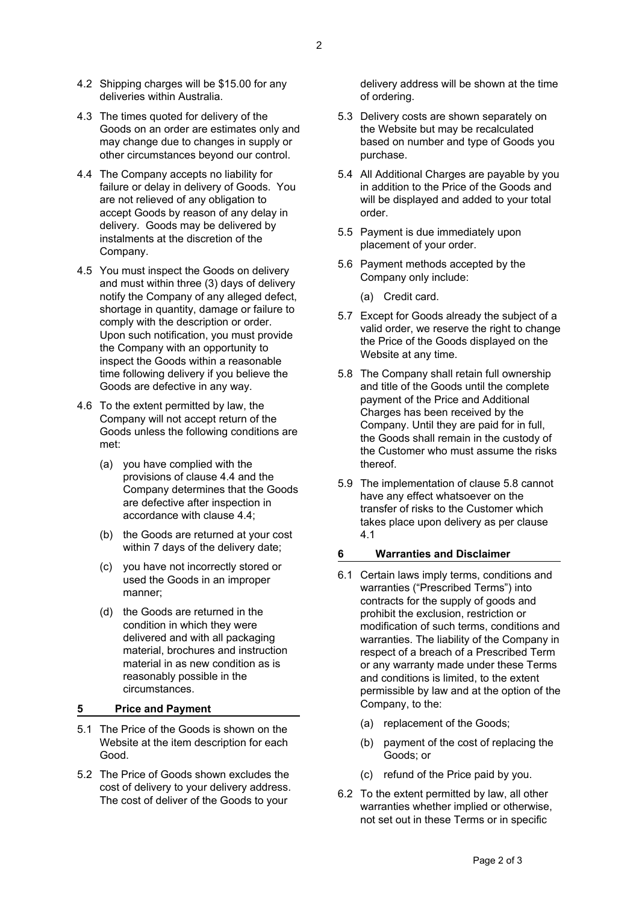- 4.2 Shipping charges will be \$15.00 for any deliveries within Australia.
- 4.3 The times quoted for delivery of the Goods on an order are estimates only and may change due to changes in supply or other circumstances beyond our control.
- 4.4 The Company accepts no liability for failure or delay in delivery of Goods. You are not relieved of any obligation to accept Goods by reason of any delay in delivery. Goods may be delivered by instalments at the discretion of the Company.
- 4.5 You must inspect the Goods on delivery and must within three (3) days of delivery notify the Company of any alleged defect, shortage in quantity, damage or failure to comply with the description or order. Upon such notification, you must provide the Company with an opportunity to inspect the Goods within a reasonable time following delivery if you believe the Goods are defective in any way.
- 4.6 To the extent permitted by law, the Company will not accept return of the Goods unless the following conditions are met:
	- (a) you have complied with the provisions of clause 4.4 and the Company determines that the Goods are defective after inspection in accordance with clause 4.4;
	- (b) the Goods are returned at your cost within 7 days of the delivery date;
	- (c) you have not incorrectly stored or used the Goods in an improper manner;
	- (d) the Goods are returned in the condition in which they were delivered and with all packaging material, brochures and instruction material in as new condition as is reasonably possible in the circumstances.

# **5 Price and Payment**

- 5.1 The Price of the Goods is shown on the Website at the item description for each Good.
- 5.2 The Price of Goods shown excludes the cost of delivery to your delivery address. The cost of deliver of the Goods to your

delivery address will be shown at the time of ordering.

- 5.3 Delivery costs are shown separately on the Website but may be recalculated based on number and type of Goods you purchase.
- 5.4 All Additional Charges are payable by you in addition to the Price of the Goods and will be displayed and added to your total order.
- 5.5 Payment is due immediately upon placement of your order.
- 5.6 Payment methods accepted by the Company only include:
	- (a) Credit card.
- 5.7 Except for Goods already the subject of a valid order, we reserve the right to change the Price of the Goods displayed on the Website at any time.
- 5.8 The Company shall retain full ownership and title of the Goods until the complete payment of the Price and Additional Charges has been received by the Company. Until they are paid for in full, the Goods shall remain in the custody of the Customer who must assume the risks thereof.
- 5.9 The implementation of clause 5.8 cannot have any effect whatsoever on the transfer of risks to the Customer which takes place upon delivery as per clause 4.1

#### **6 Warranties and Disclaimer**

- 6.1 Certain laws imply terms, conditions and warranties ("Prescribed Terms") into contracts for the supply of goods and prohibit the exclusion, restriction or modification of such terms, conditions and warranties. The liability of the Company in respect of a breach of a Prescribed Term or any warranty made under these Terms and conditions is limited, to the extent permissible by law and at the option of the Company, to the:
	- (a) replacement of the Goods;
	- (b) payment of the cost of replacing the Goods; or
	- (c) refund of the Price paid by you.
- 6.2 To the extent permitted by law, all other warranties whether implied or otherwise, not set out in these Terms or in specific